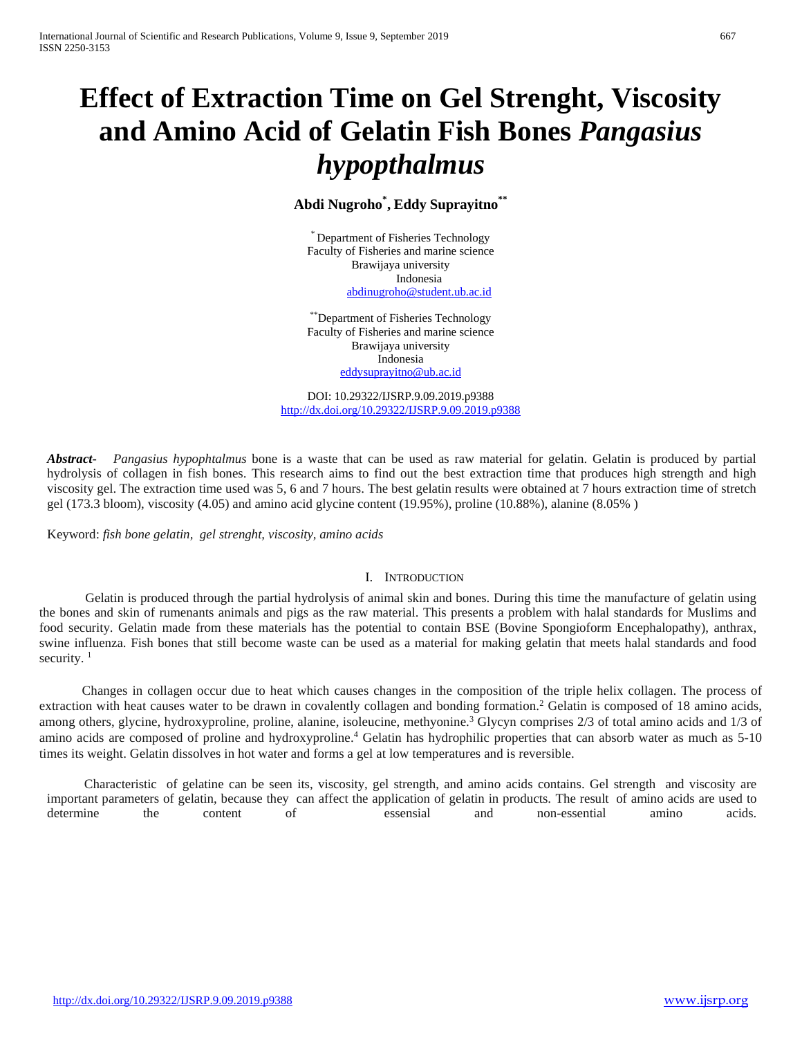# **Effect of Extraction Time on Gel Strenght, Viscosity and Amino Acid of Gelatin Fish Bones** *Pangasius hypopthalmus*

**Abdi Nugroho\* , Eddy Suprayitno\*\***

\* Department of Fisheries Technology Faculty of Fisheries and marine science Brawijaya university Indonesia [abdinugroho@student.ub.ac.id](mailto:abdinugroho@student.ub.ac.id)

\*\*Department of Fisheries Technology Faculty of Fisheries and marine science Brawijaya university Indonesia [eddysuprayitno@ub.ac.id](mailto:eddysuprayitno@ub.ac.id)

DOI: 10.29322/IJSRP.9.09.2019.p9388 <http://dx.doi.org/10.29322/IJSRP.9.09.2019.p9388>

*Abstract***-** *Pangasius hypophtalmus* bone is a waste that can be used as raw material for gelatin. Gelatin is produced by partial hydrolysis of collagen in fish bones. This research aims to find out the best extraction time that produces high strength and high viscosity gel. The extraction time used was 5, 6 and 7 hours. The best gelatin results were obtained at 7 hours extraction time of stretch gel (173.3 bloom), viscosity (4.05) and amino acid glycine content (19.95%), proline (10.88%), alanine (8.05% )

Keyword: *fish bone gelatin, gel strenght, viscosity, amino acids*

## I. INTRODUCTION

Gelatin is produced through the partial hydrolysis of animal skin and bones. During this time the manufacture of gelatin using the bones and skin of rumenants animals and pigs as the raw material. This presents a problem with halal standards for Muslims and food security. Gelatin made from these materials has the potential to contain BSE (Bovine Spongioform Encephalopathy), anthrax, swine influenza. Fish bones that still become waste can be used as a material for making gelatin that meets halal standards and food security.<sup>1</sup>

Changes in collagen occur due to heat which causes changes in the composition of the triple helix collagen. The process of extraction with heat causes water to be drawn in covalently collagen and bonding formation.<sup>2</sup> Gelatin is composed of 18 amino acids, among others, glycine, hydroxyproline, proline, alanine, isoleucine, methyonine.<sup>3</sup> Glycyn comprises 2/3 of total amino acids and 1/3 of amino acids are composed of proline and hydroxyproline. <sup>4</sup> Gelatin has hydrophilic properties that can absorb water as much as 5-10 times its weight. Gelatin dissolves in hot water and forms a gel at low temperatures and is reversible.

Characteristic of gelatine can be seen its, viscosity, gel strength, and amino acids contains. Gel strength and viscosity are important parameters of gelatin, because they can affect the application of gelatin in products. The result of amino acids are used to determine the content of essensial and non-essential amino acids.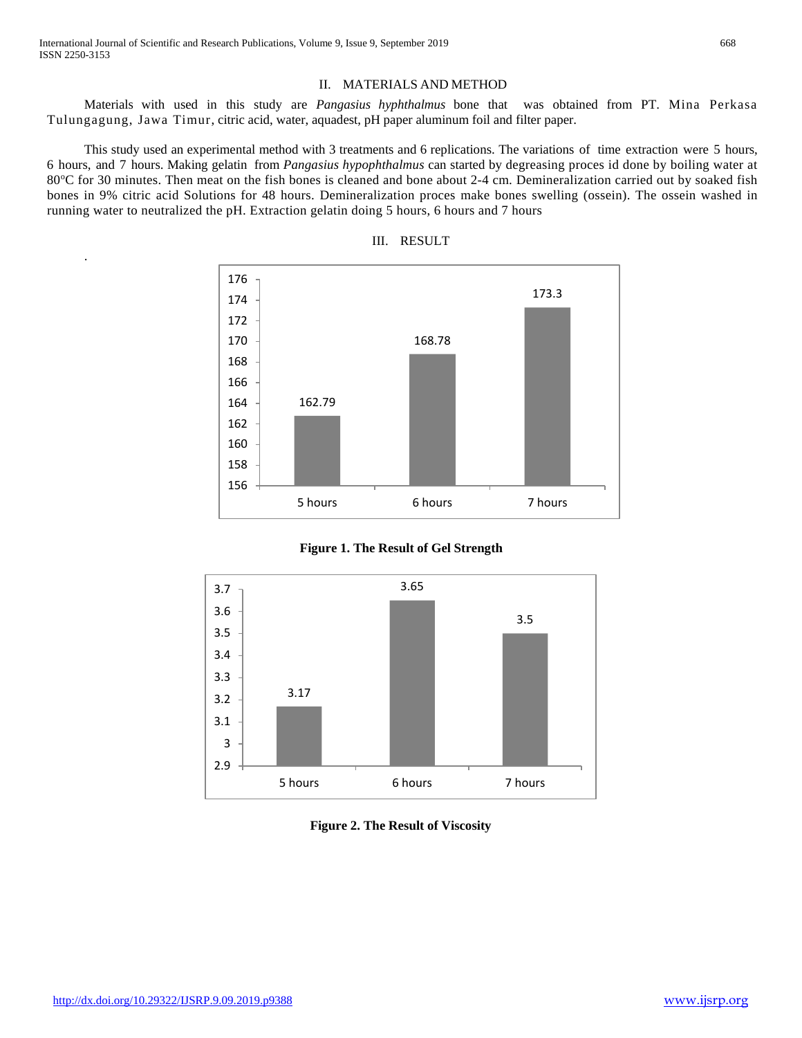.

#### II. MATERIALS AND METHOD

Materials with used in this study are *Pangasius hyphthalmus* bone that was obtained from PT. Mina Perkasa Tulungagung, Jawa Timur, citric acid, water, aquadest, pH paper aluminum foil and filter paper.

This study used an experimental method with 3 treatments and 6 replications. The variations of time extraction were 5 hours, 6 hours, and 7 hours. Making gelatin from *Pangasius hypophthalmus* can started by degreasing proces id done by boiling water at 80°C for 30 minutes. Then meat on the fish bones is cleaned and bone about 2-4 cm. Demineralization carried out by soaked fish bones in 9% citric acid Solutions for 48 hours. Demineralization proces make bones swelling (ossein). The ossein washed in running water to neutralized the pH. Extraction gelatin doing 5 hours, 6 hours and 7 hours





**Figure 1. The Result of Gel Strength**



**Figure 2. The Result of Viscosity**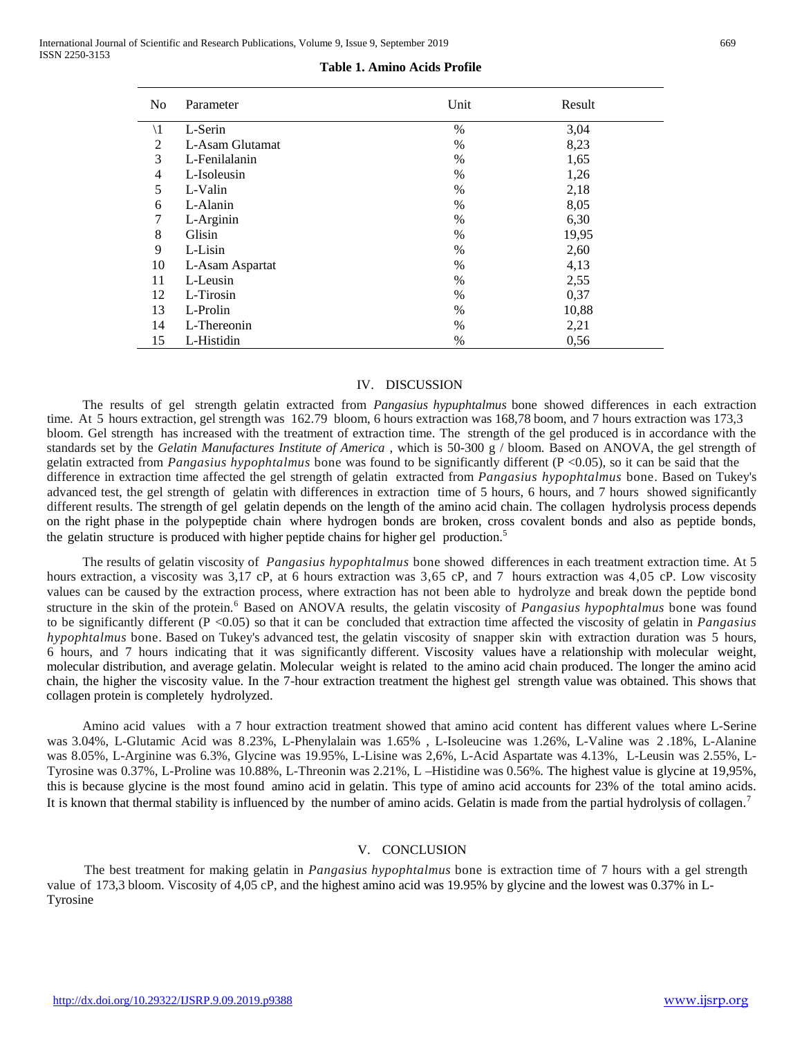| No             | Parameter       | Unit | Result |
|----------------|-----------------|------|--------|
| $\setminus$ 1  | L-Serin         | $\%$ | 3,04   |
| $\overline{c}$ | L-Asam Glutamat | $\%$ | 8,23   |
| 3              | L-Fenilalanin   | $\%$ | 1,65   |
| 4              | L-Isoleusin     | $\%$ | 1,26   |
| 5              | L-Valin         | $\%$ | 2,18   |
| 6              | L-Alanin        | $\%$ | 8,05   |
| 7              | L-Arginin       | $\%$ | 6,30   |
| 8              | Glisin          | $\%$ | 19,95  |
| 9              | L-Lisin         | $\%$ | 2,60   |
| 10             | L-Asam Aspartat | $\%$ | 4,13   |
| 11             | L-Leusin        | $\%$ | 2,55   |
| 12             | L-Tirosin       | $\%$ | 0,37   |
| 13             | L-Prolin        | $\%$ | 10,88  |
| 14             | L-Thereonin     | $\%$ | 2,21   |
| 15             | L-Histidin      | $\%$ | 0,56   |

**Table 1. Amino Acids Profile**

#### IV. DISCUSSION

The results of gel strength gelatin extracted from *Pangasius hypuphtalmus* bone showed differences in each extraction time. At 5 hours extraction, gel strength was 162.79 bloom, 6 hours extraction was 168,78 boom, and 7 hours extraction was 173,3 bloom. Gel strength has increased with the treatment of extraction time. The strength of the gel produced is in accordance with the standards set by the *Gelatin Manufactures Institute of America* , which is 50-300 g / bloom. Based on ANOVA, the gel strength of gelatin extracted from *Pangasius hypophtalmus* bone was found to be significantly different (P <0.05), so it can be said that the difference in extraction time affected the gel strength of gelatin extracted from *Pangasius hypophtalmus* bone. Based on Tukey's advanced test, the gel strength of gelatin with differences in extraction time of 5 hours, 6 hours, and 7 hours showed significantly different results. The strength of gel gelatin depends on the length of the amino acid chain. The collagen hydrolysis process depends on the right phase in the polypeptide chain where hydrogen bonds are broken, cross covalent bonds and also as peptide bonds, the gelatin structure is produced with higher peptide chains for higher gel production.<sup>5</sup>

The results of gelatin viscosity of *Pangasius hypophtalmus* bone showed differences in each treatment extraction time. At 5 hours extraction, a viscosity was 3,17 cP, at 6 hours extraction was 3,65 cP, and 7 hours extraction was 4,05 cP. Low viscosity values can be caused by the extraction process, where extraction has not been able to hydrolyze and break down the peptide bond structure in the skin of the protein. 6 Based on ANOVA results, the gelatin viscosity of *Pangasius hypophtalmus* bone was found to be significantly different (P <0.05) so that it can be concluded that extraction time affected the viscosity of gelatin in *Pangasius hypophtalmus* bone. Based on Tukey's advanced test, the gelatin viscosity of snapper skin with extraction duration was 5 hours, 6 hours, and 7 hours indicating that it was significantly different. Viscosity values have a relationship with molecular weight, molecular distribution, and average gelatin. Molecular weight is related to the amino acid chain produced. The longer the amino acid chain, the higher the viscosity value. In the 7-hour extraction treatment the highest gel strength value was obtained. This shows that collagen protein is completely hydrolyzed.

Amino acid values with a 7 hour extraction treatment showed that amino acid content has different values where L-Serine was 3.04%, L-Glutamic Acid was 8.23%, L-Phenylalain was 1.65% , L-Isoleucine was 1.26%, L-Valine was 2 .18%, L-Alanine was 8.05%, L-Arginine was 6.3%, Glycine was 19.95%, L-Lisine was 2,6%, L-Acid Aspartate was 4.13%, L-Leusin was 2.55%, L-Tyrosine was 0.37%, L-Proline was 10.88%, L-Threonin was 2.21%, L –Histidine was 0.56%. The highest value is glycine at 19,95%, this is because glycine is the most found amino acid in gelatin. This type of amino acid accounts for 23% of the total amino acids. It is known that thermal stability is influenced by the number of amino acids. Gelatin is made from the partial hydrolysis of collagen.<sup>7</sup>

### V. CONCLUSION

The best treatment for making gelatin in *Pangasius hypophtalmus* bone is extraction time of 7 hours with a gel strength value of 173,3 bloom. Viscosity of 4,05 cP, and the highest amino acid was 19.95% by glycine and the lowest was 0.37% in L-Tyrosine